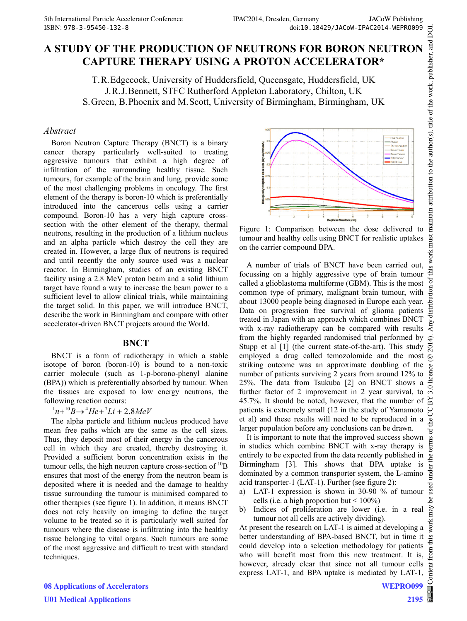# **CAPTURE THERAPY USING A PROTON ACCELERATOR\***

T.R.Edgecock, University of Huddersfield, Queensgate, Huddersfield, UK J.R.J.Bennett, STFC Rutherford Appleton Laboratory, Chilton, UK S.Green, B.Phoenix and M.Scott, University of Birmingham, Birmingham, UK

#### *Abstract*

ISBN: 978-3-95459-132-8<br> **A STUDY OF THE PRODUCTION OF NEUTRONS FOR BORON NEUTRON**<br> **A STUDY OF THE PRODUCTION OF NEUTRONS FOR BORON NEUTRON**<br> **CAPTURE THERAPY USING A PROTON ACCELERATOR\***<br>
T.R. Edgeeook, University of Hud Boron Neutron Capture Therapy (BNCT) is a binary cancer therapy particularly well-suited to treating aggressive tumours that exhibit a high degree of infiltration of the surrounding healthy tissue. Such tumours, for example of the brain and lung, provide some of the most challenging problems in oncology. The first element of the therapy is boron-10 which is preferentially introduced into the cancerous cells using a carrier compound. Boron-10 has a very high capture crosssection with the other element of the therapy, thermal neutrons, resulting in the production of a lithium nucleus and an alpha particle which destroy the cell they are created in. However, a large flux of neutrons is required and until recently the only source used was a nuclear reactor. In Birmingham, studies of an existing BNCT facility using a 2.8 MeV proton beam and a solid lithium target have found a way to increase the beam power to a sufficient level to allow clinical trials, while maintaining the target solid. In this paper, we will introduce BNCT, describe the work in Birmingham and compare with other accelerator-driven BNCT projects around the World.

#### **BNCT**

BNCT is a form of radiotherapy in which a stable isotope of boron (boron-10) is bound to a non-toxic carrier molecule (such as 1-p-borono-phenyl alanine (BPA)) which is preferentially absorbed by tumour. When the tissues are exposed to low energy neutrons, the following reaction occurs:

# $h^{1}n+{}^{10}B \rightarrow {}^{4}He + {}^{7}Li + 2.8MeV$

The alpha particle and lithium nucleus produced have mean free paths which are the same as the cell sizes. Thus, they deposit most of their energy in the cancerous cell in which they are created, thereby destroying it. Provided a sufficient boron concentration exists in the tumour cells, the high neutron capture cross-section of  ${}^{10}B$ ensures that most of the energy from the neutron beam is deposited where it is needed and the damage to healthy tissue surrounding the tumour is minimised compared to other therapies (see figure 1). In addition, it means BNCT does not rely heavily on imaging to define the target volume to be treated so it is particularly well suited for tumours where the disease is infiltrating into the healthy tissue belonging to vital organs. Such tumours are some of the most aggressive and difficult to treat with standard techniques.



Figure 1: Comparison between the dose delivered to tumour and healthy cells using BNCT for realistic uptakes on the carrier compound BPA.

 2014). Any distribution of this work must maintain attribution to the author(s), title of the work, publisher, and DOI.this work must A number of trials of BNCT have been carried out, focussing on a highly aggressive type of brain tumour bution of called a glioblastoma multiforme (GBM). This is the most common type of primary, malignant brain tumour, with about 13000 people being diagnosed in Europe each year. ny distrit Data on progression free survival of glioma patients treated in Japan with an approach which combines BNCT with x-ray radiotherapy can be compared with results  $\overline{z}$ from the highly regarded randomised trial performed by Stupp et al [1] (the current state-of-the-art). This study  $\overline{5}$ employed a drug called temozolomide and the most ©Content from this work may be used under the terms of the CC BY 3.0 licence ( $@$ striking outcome was an approximate doubling of the licence number of patients surviving 2 years from around 12% to 25%. The data from Tsukuba [2] on BNCT shows a  $3.0$ further factor of 2 improvement in 2 year survival, to 45.7%. It should be noted, however, that the number of  $\approx$ patients is extremely small (12 in the study of Yamamoto et al) and these results will need to be reproduced in a  $A<sub>e</sub>$ larger population before any conclusions can be drawn. terms of

It is important to note that the improved success shown in studies which combine BNCT with x-ray therapy is entirely to be expected from the data recently published in Birmingham [3]. This shows that BPA uptake is dominated by a common transporter system, the L-amino acid transporter-1 (LAT-1). Further (see figure 2):

- a) LAT-1 expression is shown in 30-90 % of tumour cells (i.e. a high proportion but  $\leq 100\%$ )
- b) Indices of proliferation are lower (i.e. in a real tumour not all cells are actively dividing).

At present the research on LAT-1 is aimed at developing a this better understanding of BPA-based BNCT, but in time it could develop into a selection methodology for patients from ( who will benefit most from this new treatment. It is, however, already clear that since not all tumour cells express LAT-1, and BPA uptake is mediated by LAT-1,

he i under 1

used م<br>م may work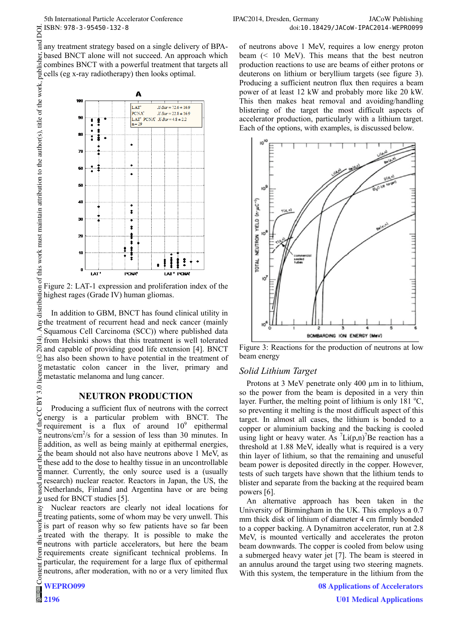any treatment strategy based on a single delivery of BPAbased BNCT alone will not succeed. An approach which combines BNCT with a powerful treatment that targets all cells (eg x-ray radiotherapy) then looks optimal.



Figure 2: LAT-1 expression and proliferation index of the highest rages (Grade IV) human gliomas.

In addition to GBM, BNCT has found clinical utility in  $\geq$  the treatment of recurrent head and neck cancer (mainly  $\leq$  Squamous Cell Carcinoma (SCC)) where published data Squamous Cell Carcinoma (SCC)) where published data  $\widehat{\mathcal{F}}$  from Helsinki shows that this treatment is well tolerated and capable of providing good life extension [4]. BNCT has also been shown to have potential in the treatment of ©metastatic colon cancer in the liver, primary and metastatic melanoma and lung cancer. 2014). Any distribution of this work must maintain attribution to the author(s), title of the work, publisher, and DOI.

### **NEUTRON PRODUCTION**

Content from this work may be used under the terms of the CC BY 3.0 licence ( $\epsilon$ CC BY 3.0 Producing a sufficient flux of neutrons with the correct energy is a particular problem with BNCT. The the requirement is a flux of around  $10^9$  epithermal neutrons/cm<sup>2</sup>/s for a session of less than 30 minutes. In  $em$ addition, as well as being mainly at epithermal energies, the beam should not also have neutrons above 1 MeV, as these add to the dose to healthy tissue in an uncontrollable under manner. Currently, the only source used is a (usually research) nuclear reactor. Reactors in Japan, the US, the  $used$ Netherlands, Finland and Argentina have or are being used for BNCT studies [5].

Nuclear reactors are clearly not ideal locations for treating patients, some of whom may be very unwell. This work is part of reason why so few patients have so far been treated with the therapy. It is possible to make the this neutrons with particle accelerators, but here the beam morr, requirements create significant technical problems. In particular, the requirement for a large flux of epithermal Content neutrons, after moderation, with no or a very limited flux

**2196**

 $\circ$ 

of neutrons above 1 MeV, requires a low energy proton beam (< 10 MeV). This means that the best neutron production reactions to use are beams of either protons or deuterons on lithium or beryllium targets (see figure 3). Producing a sufficient neutron flux then requires a beam power of at least 12 kW and probably more like 20 kW. This then makes heat removal and avoiding/handling blistering of the target the most difficult aspects of accelerator production, particularly with a lithium target. Each of the options, with examples, is discussed below.



Figure 3: Reactions for the production of neutrons at low beam energy

### *Solid Lithium Target*

Protons at 3 MeV penetrate only 400  $\mu$ m in to lithium, so the power from the beam is deposited in a very thin layer. Further, the melting point of lithium is only  $181 °C$ , so preventing it melting is the most difficult aspect of this target. In almost all cases, the lithium is bonded to a copper or aluminium backing and the backing is cooled using light or heavy water. As  $\binom{7}{1}$  Li(p,n)<sup>7</sup>Be reaction has a threshold at 1.88 MeV, ideally what is required is a very thin layer of lithium, so that the remaining and unuseful beam power is deposited directly in the copper. However, tests of such targets have shown that the lithium tends to blister and separate from the backing at the required beam powers [6].

An alternative approach has been taken in the University of Birmingham in the UK. This employs a 0.7 mm thick disk of lithium of diameter 4 cm firmly bonded to a copper backing. A Dynamitron accelerator, run at 2.8 MeV, is mounted vertically and accelerates the proton beam downwards. The copper is cooled from below using a submerged heavy water jet [7]. The beam is steered in an annulus around the target using two steering magnets. With this system, the temperature in the lithium from the

> **08 Applications of Accelerators U01 Medical Applications**